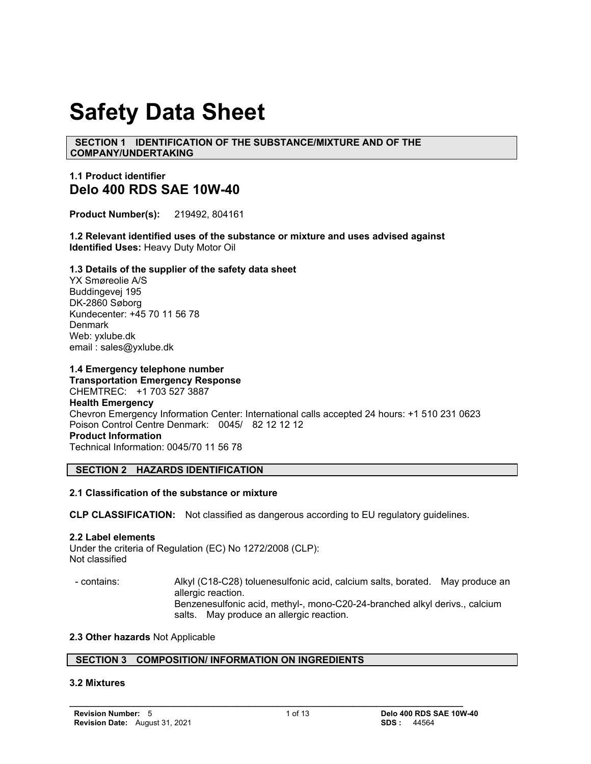# **Safety Data Sheet**

 **SECTION 1 IDENTIFICATION OF THE SUBSTANCE/MIXTURE AND OF THE COMPANY/UNDERTAKING**

## **1.1 Product identifier Delo 400 RDS SAE 10W-40**

**Product Number(s):** 219492, 804161

**1.2 Relevant identified uses of the substance or mixture and uses advised against Identified Uses:** Heavy Duty Motor Oil

### **1.3 Details of the supplier of the safety data sheet**

YX Smøreolie A/S Buddingevej 195 DK-2860 Søborg Kundecenter: +45 70 11 56 78 **Denmark** Web: yxlube.dk email : sales@yxlube.dk

### **1.4 Emergency telephone number**

**Transportation Emergency Response** CHEMTREC: +1 703 527 3887 **Health Emergency** Chevron Emergency Information Center: International calls accepted 24 hours: +1 510 231 0623 Poison Control Centre Denmark: 0045/ 82 12 12 12 **Product Information**  Technical Information: 0045/70 11 56 78

### **SECTION 2 HAZARDS IDENTIFICATION**

### **2.1 Classification of the substance or mixture**

**CLP CLASSIFICATION:** Not classified as dangerous according to EU regulatory guidelines.

### **2.2 Label elements**

Under the criteria of Regulation (EC) No 1272/2008 (CLP): Not classified

 - contains: Alkyl (C18-C28) toluenesulfonic acid, calcium salts, borated. May produce an allergic reaction. Benzenesulfonic acid, methyl-, mono-C20-24-branched alkyl derivs., calcium salts. May produce an allergic reaction.

### **2.3 Other hazards** Not Applicable

### **SECTION 3 COMPOSITION/ INFORMATION ON INGREDIENTS**

### **3.2 Mixtures**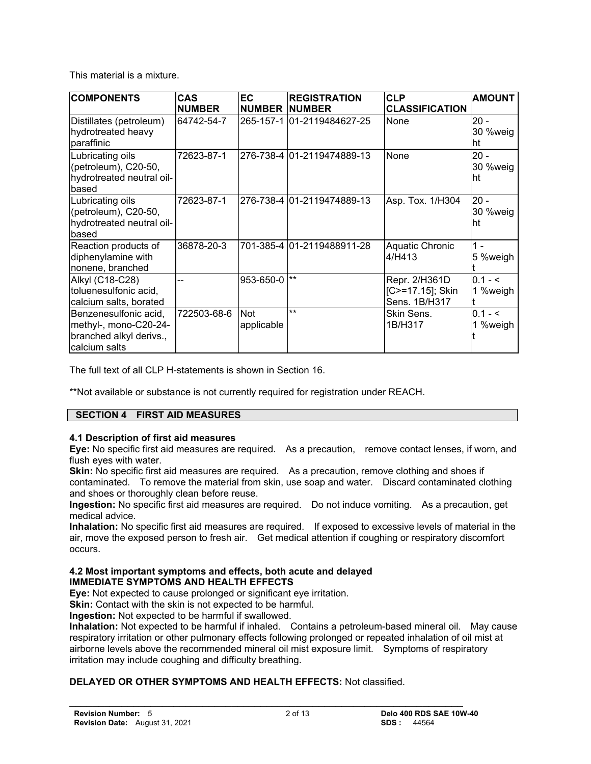This material is a mixture.

| <b>COMPONENTS</b>                                                                          | <b>CAS</b>    | <b>EC</b>                | <b>REGISTRATION</b>        | <b>CLP</b>                                         | <b>AMOUNT</b>              |
|--------------------------------------------------------------------------------------------|---------------|--------------------------|----------------------------|----------------------------------------------------|----------------------------|
|                                                                                            | <b>NUMBER</b> | <b>NUMBER NUMBER</b>     |                            | <b>CLASSIFICATION</b>                              |                            |
| Distillates (petroleum)<br>hydrotreated heavy<br>paraffinic                                | 64742-54-7    |                          | 265-157-1 01-2119484627-25 | None                                               | $20 -$<br>30 %weig<br>∣ht  |
| Lubricating oils<br>(petroleum), C20-50,<br>hydrotreated neutral oil-<br>based             | 72623-87-1    |                          | 276-738-4 01-2119474889-13 | None                                               | $20 -$<br>30 %weig<br>lht. |
| Lubricating oils<br>(petroleum), C20-50,<br>hydrotreated neutral oil-<br>based             | 72623-87-1    |                          | 276-738-4 01-2119474889-13 | Asp. Tox. 1/H304                                   | $20 -$<br>30 %weig<br>lht. |
| Reaction products of<br>diphenylamine with<br>nonene, branched                             | 36878-20-3    |                          | 701-385-4 01-2119488911-28 | Aquatic Chronic<br>l4/H413                         | $1 -$<br>5 %weigh          |
| Alkyl (C18-C28)<br>toluenesulfonic acid,<br>calcium salts, borated                         |               | 953-650-0                | $***$                      | Repr. 2/H361D<br>[C>=17.15]; Skin<br>Sens. 1B/H317 | $0.1 - 5$<br>1 %weigh      |
| Benzenesulfonic acid,<br>methyl-, mono-C20-24-<br>branched alkyl derivs.,<br>calcium salts | 722503-68-6   | <b>Not</b><br>applicable | $***$                      | Skin Sens.<br>1B/H317                              | $0.1 - 5$<br>%weigh        |

The full text of all CLP H-statements is shown in Section 16.

\*\*Not available or substance is not currently required for registration under REACH.

### **SECTION 4 FIRST AID MEASURES**

### **4.1 Description of first aid measures**

**Eye:** No specific first aid measures are required. As a precaution, remove contact lenses, if worn, and flush eyes with water.

**Skin:** No specific first aid measures are required. As a precaution, remove clothing and shoes if contaminated. To remove the material from skin, use soap and water. Discard contaminated clothing and shoes or thoroughly clean before reuse.

**Ingestion:** No specific first aid measures are required. Do not induce vomiting. As a precaution, get medical advice.

**Inhalation:** No specific first aid measures are required. If exposed to excessive levels of material in the air, move the exposed person to fresh air. Get medical attention if coughing or respiratory discomfort occurs.

### **4.2 Most important symptoms and effects, both acute and delayed IMMEDIATE SYMPTOMS AND HEALTH EFFECTS**

**Eye:** Not expected to cause prolonged or significant eye irritation.

**Skin:** Contact with the skin is not expected to be harmful.

**Ingestion:** Not expected to be harmful if swallowed.

**Inhalation:** Not expected to be harmful if inhaled. Contains a petroleum-based mineral oil. May cause respiratory irritation or other pulmonary effects following prolonged or repeated inhalation of oil mist at airborne levels above the recommended mineral oil mist exposure limit. Symptoms of respiratory irritation may include coughing and difficulty breathing.

### **DELAYED OR OTHER SYMPTOMS AND HEALTH EFFECTS:** Not classified.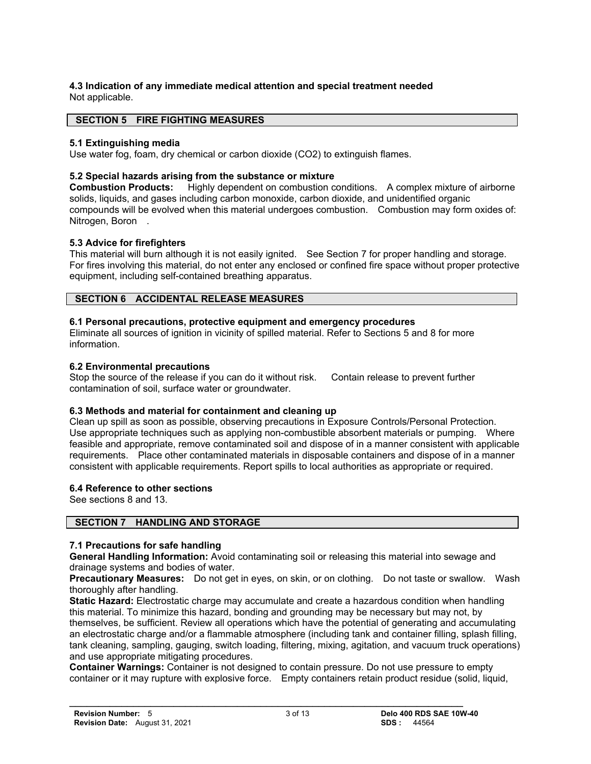### **4.3 Indication of any immediate medical attention and special treatment needed**  Not applicable.

### **SECTION 5 FIRE FIGHTING MEASURES**

### **5.1 Extinguishing media**

Use water fog, foam, dry chemical or carbon dioxide (CO2) to extinguish flames.

### **5.2 Special hazards arising from the substance or mixture**

**Combustion Products:** Highly dependent on combustion conditions. A complex mixture of airborne solids, liquids, and gases including carbon monoxide, carbon dioxide, and unidentified organic compounds will be evolved when this material undergoes combustion. Combustion may form oxides of: Nitrogen, Boron.

### **5.3 Advice for firefighters**

This material will burn although it is not easily ignited. See Section 7 for proper handling and storage. For fires involving this material, do not enter any enclosed or confined fire space without proper protective equipment, including self-contained breathing apparatus.

### **SECTION 6 ACCIDENTAL RELEASE MEASURES**

### **6.1 Personal precautions, protective equipment and emergency procedures**

Eliminate all sources of ignition in vicinity of spilled material. Refer to Sections 5 and 8 for more information.

### **6.2 Environmental precautions**

Stop the source of the release if you can do it without risk. Contain release to prevent further contamination of soil, surface water or groundwater.

### **6.3 Methods and material for containment and cleaning up**

Clean up spill as soon as possible, observing precautions in Exposure Controls/Personal Protection. Use appropriate techniques such as applying non-combustible absorbent materials or pumping. Where feasible and appropriate, remove contaminated soil and dispose of in a manner consistent with applicable requirements. Place other contaminated materials in disposable containers and dispose of in a manner consistent with applicable requirements. Report spills to local authorities as appropriate or required.

### **6.4 Reference to other sections**

See sections 8 and 13.

### **SECTION 7 HANDLING AND STORAGE**

### **7.1 Precautions for safe handling**

**General Handling Information:** Avoid contaminating soil or releasing this material into sewage and drainage systems and bodies of water.

**Precautionary Measures:** Do not get in eyes, on skin, or on clothing. Do not taste or swallow. Wash thoroughly after handling.

**Static Hazard:** Electrostatic charge may accumulate and create a hazardous condition when handling this material. To minimize this hazard, bonding and grounding may be necessary but may not, by themselves, be sufficient. Review all operations which have the potential of generating and accumulating an electrostatic charge and/or a flammable atmosphere (including tank and container filling, splash filling, tank cleaning, sampling, gauging, switch loading, filtering, mixing, agitation, and vacuum truck operations) and use appropriate mitigating procedures.

**Container Warnings:** Container is not designed to contain pressure. Do not use pressure to empty container or it may rupture with explosive force. Empty containers retain product residue (solid, liquid,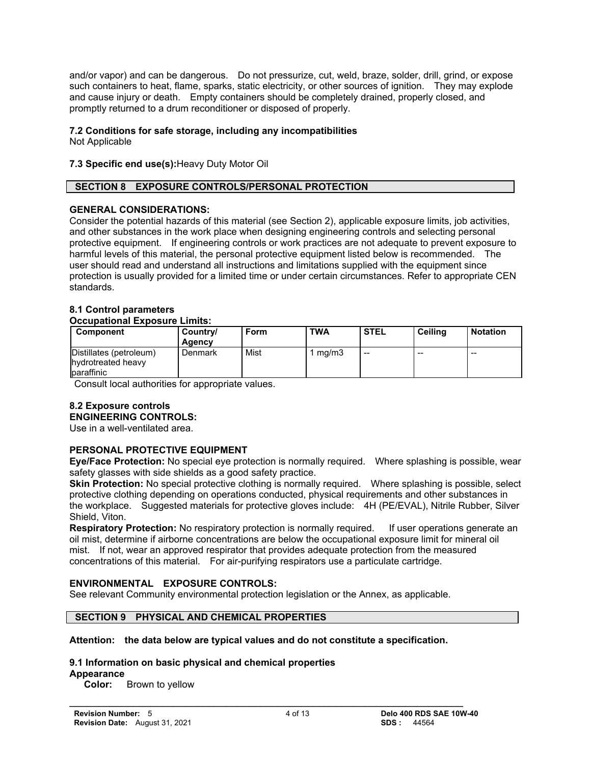and/or vapor) and can be dangerous. Do not pressurize, cut, weld, braze, solder, drill, grind, or expose such containers to heat, flame, sparks, static electricity, or other sources of ignition. They may explode and cause injury or death. Empty containers should be completely drained, properly closed, and promptly returned to a drum reconditioner or disposed of properly.

### **7.2 Conditions for safe storage, including any incompatibilities**

Not Applicable

**7.3 Specific end use(s):**Heavy Duty Motor Oil

### **SECTION 8 EXPOSURE CONTROLS/PERSONAL PROTECTION**

### **GENERAL CONSIDERATIONS:**

Consider the potential hazards of this material (see Section 2), applicable exposure limits, job activities, and other substances in the work place when designing engineering controls and selecting personal protective equipment. If engineering controls or work practices are not adequate to prevent exposure to harmful levels of this material, the personal protective equipment listed below is recommended. The user should read and understand all instructions and limitations supplied with the equipment since protection is usually provided for a limited time or under certain circumstances. Refer to appropriate CEN standards.

### **8.1 Control parameters**

### **Occupational Exposure Limits:**

| Component                                                   | Country/<br><b>Agency</b> | Form | <b>TWA</b> | <b>STEL</b> | Ceiling | <b>Notation</b> |
|-------------------------------------------------------------|---------------------------|------|------------|-------------|---------|-----------------|
| Distillates (petroleum)<br>hydrotreated heavy<br>baraffinic | Denmark                   | Mist | ma/m3      | $- -$       | $- -$   | $- -$           |

Consult local authorities for appropriate values.

# **8.2 Exposure controls**

# **ENGINEERING CONTROLS:**

Use in a well-ventilated area.

### **PERSONAL PROTECTIVE EQUIPMENT**

**Eye/Face Protection:** No special eye protection is normally required. Where splashing is possible, wear safety glasses with side shields as a good safety practice.

**Skin Protection:** No special protective clothing is normally required. Where splashing is possible, select protective clothing depending on operations conducted, physical requirements and other substances in the workplace. Suggested materials for protective gloves include: 4H (PE/EVAL), Nitrile Rubber, Silver Shield, Viton.

**Respiratory Protection:** No respiratory protection is normally required. If user operations generate an oil mist, determine if airborne concentrations are below the occupational exposure limit for mineral oil mist. If not, wear an approved respirator that provides adequate protection from the measured concentrations of this material. For air-purifying respirators use a particulate cartridge.

### **ENVIRONMENTAL EXPOSURE CONTROLS:**

See relevant Community environmental protection legislation or the Annex, as applicable.

### **SECTION 9 PHYSICAL AND CHEMICAL PROPERTIES**

### **Attention: the data below are typical values and do not constitute a specification.**

 $\mathcal{L} = \{ \mathcal{L} \mathcal{L} \mathcal{L} \mathcal{L} \mathcal{L} \mathcal{L} \mathcal{L} \mathcal{L} \mathcal{L} \mathcal{L} \mathcal{L} \mathcal{L} \mathcal{L} \mathcal{L} \mathcal{L} \mathcal{L} \mathcal{L} \mathcal{L} \mathcal{L} \mathcal{L} \mathcal{L} \mathcal{L} \mathcal{L} \mathcal{L} \mathcal{L} \mathcal{L} \mathcal{L} \mathcal{L} \mathcal{L} \mathcal{L} \mathcal{L} \mathcal{L} \mathcal{L} \mathcal{L} \mathcal{L} \$ 

### **9.1 Information on basic physical and chemical properties**

**Appearance**

**Color:** Brown to yellow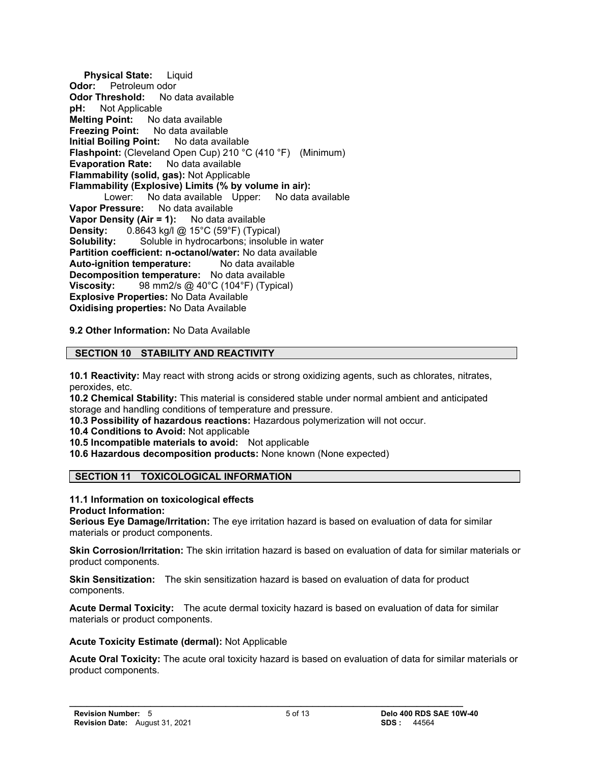**Physical State:** Liquid **Odor:** Petroleum odor **Odor Threshold:** No data available **pH:** Not Applicable **Melting Point:** No data available **Freezing Point:** No data available **Initial Boiling Point:** No data available **Flashpoint:** (Cleveland Open Cup) 210 °C (410 °F) (Minimum) **Evaporation Rate:** No data available **Flammability (solid, gas):** Not Applicable **Flammability (Explosive) Limits (% by volume in air):** Lower: No data available Upper: No data available **Vapor Pressure:** No data available **Vapor Density (Air = 1):** No data available **Density:** 0.8643 kg/l @ 15°C (59°F) (Typical) **Solubility:** Soluble in hydrocarbons; insoluble in water **Partition coefficient: n-octanol/water:** No data available **Auto-ignition temperature:** No data available **Decomposition temperature:** No data available **Viscosity:** 98 mm2/s @ 40°C (104°F) (Typical) **Explosive Properties:** No Data Available **Oxidising properties:** No Data Available

**9.2 Other Information:** No Data Available

### **SECTION 10 STABILITY AND REACTIVITY**

**10.1 Reactivity:** May react with strong acids or strong oxidizing agents, such as chlorates, nitrates, peroxides, etc.

**10.2 Chemical Stability:** This material is considered stable under normal ambient and anticipated storage and handling conditions of temperature and pressure.

**10.3 Possibility of hazardous reactions:** Hazardous polymerization will not occur.

**10.4 Conditions to Avoid:** Not applicable

**10.5 Incompatible materials to avoid:** Not applicable

**10.6 Hazardous decomposition products:** None known (None expected)

### **SECTION 11 TOXICOLOGICAL INFORMATION**

#### **11.1 Information on toxicological effects Product Information:**

**Serious Eye Damage/Irritation:** The eye irritation hazard is based on evaluation of data for similar materials or product components.

**Skin Corrosion/Irritation:** The skin irritation hazard is based on evaluation of data for similar materials or product components.

**Skin Sensitization:** The skin sensitization hazard is based on evaluation of data for product components.

 $\mathcal{L} = \{ \mathcal{L} \mathcal{L} \mathcal{L} \mathcal{L} \mathcal{L} \mathcal{L} \mathcal{L} \mathcal{L} \mathcal{L} \mathcal{L} \mathcal{L} \mathcal{L} \mathcal{L} \mathcal{L} \mathcal{L} \mathcal{L} \mathcal{L} \mathcal{L} \mathcal{L} \mathcal{L} \mathcal{L} \mathcal{L} \mathcal{L} \mathcal{L} \mathcal{L} \mathcal{L} \mathcal{L} \mathcal{L} \mathcal{L} \mathcal{L} \mathcal{L} \mathcal{L} \mathcal{L} \mathcal{L} \mathcal{L} \$ 

**Acute Dermal Toxicity:** The acute dermal toxicity hazard is based on evaluation of data for similar materials or product components.

### **Acute Toxicity Estimate (dermal):** Not Applicable

**Acute Oral Toxicity:** The acute oral toxicity hazard is based on evaluation of data for similar materials or product components.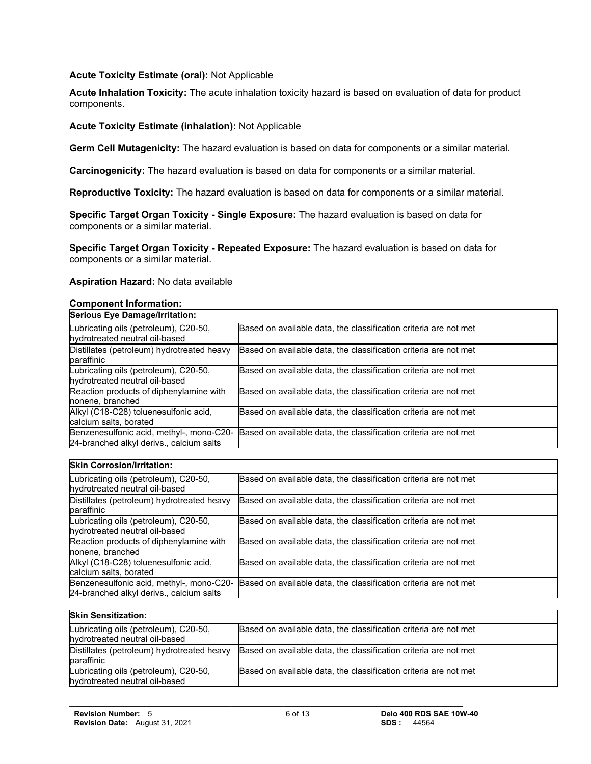### **Acute Toxicity Estimate (oral):** Not Applicable

**Acute Inhalation Toxicity:** The acute inhalation toxicity hazard is based on evaluation of data for product components.

### **Acute Toxicity Estimate (inhalation):** Not Applicable

**Germ Cell Mutagenicity:** The hazard evaluation is based on data for components or a similar material.

**Carcinogenicity:** The hazard evaluation is based on data for components or a similar material.

**Reproductive Toxicity:** The hazard evaluation is based on data for components or a similar material.

**Specific Target Organ Toxicity - Single Exposure:** The hazard evaluation is based on data for components or a similar material.

**Specific Target Organ Toxicity - Repeated Exposure:** The hazard evaluation is based on data for components or a similar material.

### **Aspiration Hazard:** No data available

#### **Component Information:**

| <b>Serious Eye Damage/Irritation:</b>                                                |                                                                  |  |
|--------------------------------------------------------------------------------------|------------------------------------------------------------------|--|
| Lubricating oils (petroleum), C20-50,<br>hydrotreated neutral oil-based              | Based on available data, the classification criteria are not met |  |
| Distillates (petroleum) hydrotreated heavy<br>paraffinic                             | Based on available data, the classification criteria are not met |  |
| Lubricating oils (petroleum), C20-50,<br>hydrotreated neutral oil-based              | Based on available data, the classification criteria are not met |  |
| Reaction products of diphenylamine with<br>nonene, branched                          | Based on available data, the classification criteria are not met |  |
| Alkyl (C18-C28) toluenesulfonic acid,<br>calcium salts, borated                      | Based on available data, the classification criteria are not met |  |
| Benzenesulfonic acid, methyl-, mono-C20-<br>24-branched alkyl derivs., calcium salts | Based on available data, the classification criteria are not met |  |

#### **Skin Corrosion/Irritation:**

| Lubricating oils (petroleum), C20-50,<br>hydrotreated neutral oil-based              | Based on available data, the classification criteria are not met |
|--------------------------------------------------------------------------------------|------------------------------------------------------------------|
| Distillates (petroleum) hydrotreated heavy<br>paraffinic                             | Based on available data, the classification criteria are not met |
| Lubricating oils (petroleum), C20-50,<br>hydrotreated neutral oil-based              | Based on available data, the classification criteria are not met |
| Reaction products of diphenylamine with<br>nonene, branched                          | Based on available data, the classification criteria are not met |
| Alkyl (C18-C28) toluenesulfonic acid,<br>calcium salts, borated                      | Based on available data, the classification criteria are not met |
| Benzenesulfonic acid, methyl-, mono-C20-<br>24-branched alkyl derivs., calcium salts | Based on available data, the classification criteria are not met |

| <b>Skin Sensitization:</b>                                              |                                                                  |
|-------------------------------------------------------------------------|------------------------------------------------------------------|
| Lubricating oils (petroleum), C20-50,<br>hydrotreated neutral oil-based | Based on available data, the classification criteria are not met |
| Distillates (petroleum) hydrotreated heavy<br>baraffinic                | Based on available data, the classification criteria are not met |
| Lubricating oils (petroleum), C20-50,<br>hydrotreated neutral oil-based | Based on available data, the classification criteria are not met |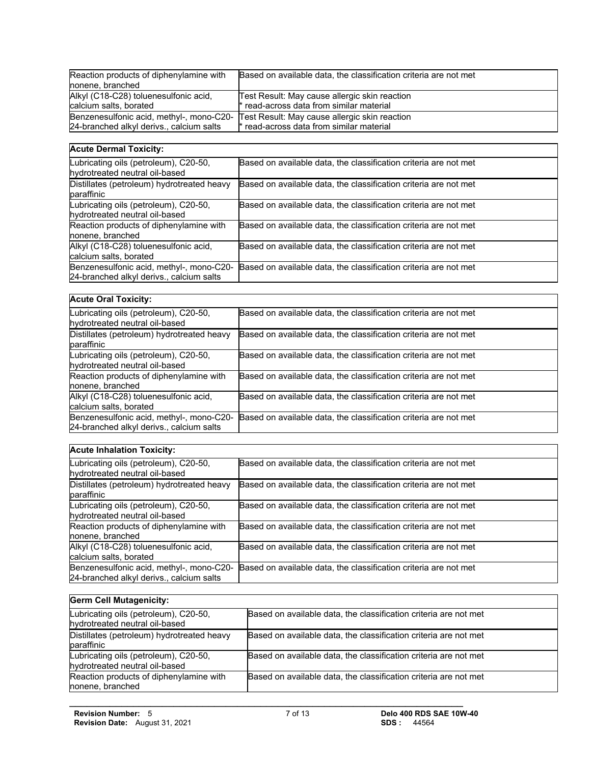| Reaction products of diphenylamine with<br>nonene, branched     | Based on available data, the classification criteria are not met                                                                   |
|-----------------------------------------------------------------|------------------------------------------------------------------------------------------------------------------------------------|
| Alkyl (C18-C28) toluenesulfonic acid,<br>calcium salts, borated | Test Result: May cause allergic skin reaction<br>* read-across data from similar material                                          |
| 24-branched alkyl derivs., calcium salts                        | Benzenesulfonic acid, methyl-, mono-C20- Test Result: May cause allergic skin reaction<br>* read-across data from similar material |

### **Acute Dermal Toxicity:**

| Lubricating oils (petroleum), C20-50,<br>hydrotreated neutral oil-based              | Based on available data, the classification criteria are not met |
|--------------------------------------------------------------------------------------|------------------------------------------------------------------|
| Distillates (petroleum) hydrotreated heavy<br>baraffinic                             | Based on available data, the classification criteria are not met |
| Lubricating oils (petroleum), C20-50,<br>hydrotreated neutral oil-based              | Based on available data, the classification criteria are not met |
| Reaction products of diphenylamine with<br>nonene, branched                          | Based on available data, the classification criteria are not met |
| Alkyl (C18-C28) toluenesulfonic acid,<br>calcium salts, borated                      | Based on available data, the classification criteria are not met |
| Benzenesulfonic acid, methyl-, mono-C20-<br>24-branched alkyl derivs., calcium salts | Based on available data, the classification criteria are not met |

| <b>Acute Oral Toxicity:</b>                                                          |                                                                  |  |
|--------------------------------------------------------------------------------------|------------------------------------------------------------------|--|
| Lubricating oils (petroleum), C20-50,<br>hydrotreated neutral oil-based              | Based on available data, the classification criteria are not met |  |
| Distillates (petroleum) hydrotreated heavy<br>baraffinic                             | Based on available data, the classification criteria are not met |  |
| Lubricating oils (petroleum), C20-50,<br>hydrotreated neutral oil-based              | Based on available data, the classification criteria are not met |  |
| Reaction products of diphenylamine with<br>nonene, branched                          | Based on available data, the classification criteria are not met |  |
| Alkyl (C18-C28) toluenesulfonic acid,<br>calcium salts, borated                      | Based on available data, the classification criteria are not met |  |
| Benzenesulfonic acid, methyl-, mono-C20-<br>24-branched alkyl derivs., calcium salts | Based on available data, the classification criteria are not met |  |

### **Acute Inhalation Toxicity:**

| Lubricating oils (petroleum), C20-50,<br>hydrotreated neutral oil-based              | Based on available data, the classification criteria are not met |
|--------------------------------------------------------------------------------------|------------------------------------------------------------------|
| Distillates (petroleum) hydrotreated heavy<br>paraffinic                             | Based on available data, the classification criteria are not met |
| Lubricating oils (petroleum), C20-50,<br>hydrotreated neutral oil-based              | Based on available data, the classification criteria are not met |
| Reaction products of diphenylamine with<br>nonene, branched                          | Based on available data, the classification criteria are not met |
| Alkyl (C18-C28) toluenesulfonic acid,<br>calcium salts, borated                      | Based on available data, the classification criteria are not met |
| Benzenesulfonic acid, methyl-, mono-C20-<br>24-branched alkyl derivs., calcium salts | Based on available data, the classification criteria are not met |

| <b>Germ Cell Mutagenicity:</b>                                          |                                                                  |
|-------------------------------------------------------------------------|------------------------------------------------------------------|
| Lubricating oils (petroleum), C20-50,<br>hydrotreated neutral oil-based | Based on available data, the classification criteria are not met |
| Distillates (petroleum) hydrotreated heavy<br>paraffinic                | Based on available data, the classification criteria are not met |
| Lubricating oils (petroleum), C20-50,<br>hydrotreated neutral oil-based | Based on available data, the classification criteria are not met |
| Reaction products of diphenylamine with<br>nonene, branched             | Based on available data, the classification criteria are not met |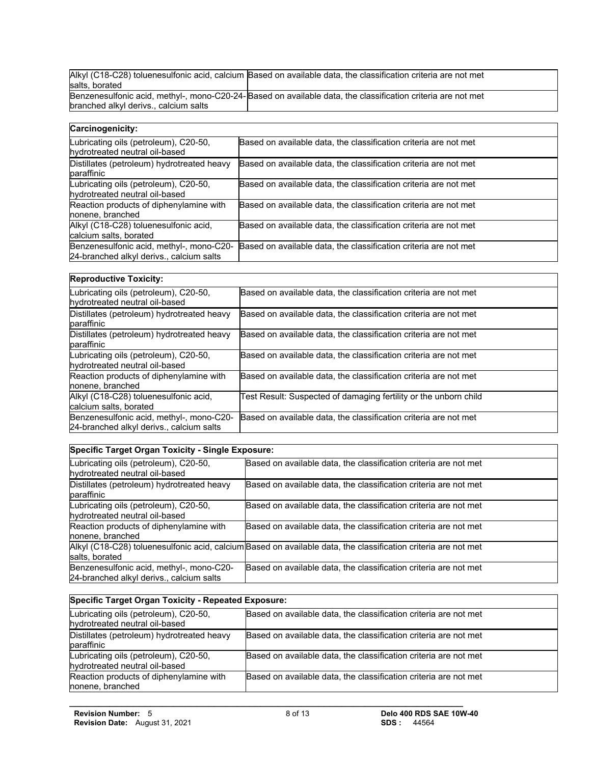|                                       | Alkyl (C18-C28) toluenesulfonic acid, calcium Based on available data, the classification criteria are not met |
|---------------------------------------|----------------------------------------------------------------------------------------------------------------|
| salts, borated                        |                                                                                                                |
|                                       | Benzenesulfonic acid, methyl-, mono-C20-24-Based on available data, the classification criteria are not met    |
| branched alkyl derivs., calcium salts |                                                                                                                |

| Carcinogenicity:                                                                     |                                                                  |  |
|--------------------------------------------------------------------------------------|------------------------------------------------------------------|--|
| Lubricating oils (petroleum), C20-50,<br>hydrotreated neutral oil-based              | Based on available data, the classification criteria are not met |  |
| Distillates (petroleum) hydrotreated heavy<br>paraffinic                             | Based on available data, the classification criteria are not met |  |
| Lubricating oils (petroleum), C20-50,<br>hydrotreated neutral oil-based              | Based on available data, the classification criteria are not met |  |
| Reaction products of diphenylamine with<br>nonene, branched                          | Based on available data, the classification criteria are not met |  |
| Alkyl (C18-C28) toluenesulfonic acid,<br>calcium salts, borated                      | Based on available data, the classification criteria are not met |  |
| Benzenesulfonic acid, methyl-, mono-C20-<br>24-branched alkyl derivs., calcium salts | Based on available data, the classification criteria are not met |  |

| Lubricating oils (petroleum), C20-50,<br>hydrotreated neutral oil-based              | Based on available data, the classification criteria are not met |
|--------------------------------------------------------------------------------------|------------------------------------------------------------------|
| Distillates (petroleum) hydrotreated heavy<br>paraffinic                             | Based on available data, the classification criteria are not met |
| Distillates (petroleum) hydrotreated heavy<br>baraffinic                             | Based on available data, the classification criteria are not met |
| Lubricating oils (petroleum), C20-50,<br>hydrotreated neutral oil-based              | Based on available data, the classification criteria are not met |
| Reaction products of diphenylamine with<br>nonene, branched                          | Based on available data, the classification criteria are not met |
| Alkyl (C18-C28) toluenesulfonic acid,<br>calcium salts, borated                      | Test Result: Suspected of damaging fertility or the unborn child |
| Benzenesulfonic acid, methyl-, mono-C20-<br>24-branched alkyl derivs., calcium salts | Based on available data, the classification criteria are not met |

### **Specific Target Organ Toxicity - Single Exposure:**

| Lubricating oils (petroleum), C20-50,<br>hydrotreated neutral oil-based              | Based on available data, the classification criteria are not met                                               |
|--------------------------------------------------------------------------------------|----------------------------------------------------------------------------------------------------------------|
| Distillates (petroleum) hydrotreated heavy<br>paraffinic                             | Based on available data, the classification criteria are not met                                               |
| Lubricating oils (petroleum), C20-50,<br>hydrotreated neutral oil-based              | Based on available data, the classification criteria are not met                                               |
| Reaction products of diphenylamine with<br>nonene, branched                          | Based on available data, the classification criteria are not met                                               |
| salts, borated                                                                       | Alkyl (C18-C28) toluenesulfonic acid, calcium Based on available data, the classification criteria are not met |
| Benzenesulfonic acid, methyl-, mono-C20-<br>24-branched alkyl derivs., calcium salts | Based on available data, the classification criteria are not met                                               |

| Specific Target Organ Toxicity - Repeated Exposure:                     |                                                                  |
|-------------------------------------------------------------------------|------------------------------------------------------------------|
| Lubricating oils (petroleum), C20-50,<br>hydrotreated neutral oil-based | Based on available data, the classification criteria are not met |
| Distillates (petroleum) hydrotreated heavy<br>paraffinic                | Based on available data, the classification criteria are not met |
| Lubricating oils (petroleum), C20-50,<br>hydrotreated neutral oil-based | Based on available data, the classification criteria are not met |
| Reaction products of diphenylamine with<br>nonene, branched             | Based on available data, the classification criteria are not met |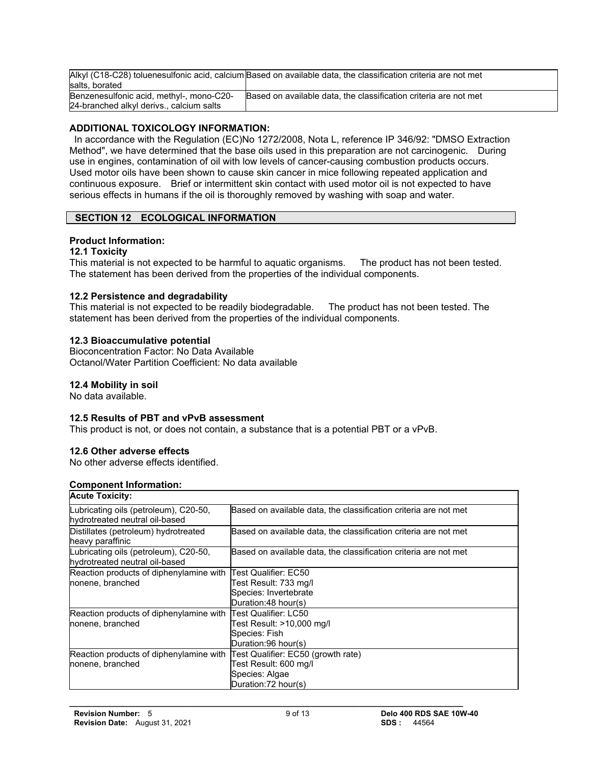|                                          | Alkyl (C18-C28) toluenesulfonic acid, calcium Based on available data, the classification criteria are not met |
|------------------------------------------|----------------------------------------------------------------------------------------------------------------|
| salts, borated                           |                                                                                                                |
| Benzenesulfonic acid, methyl-, mono-C20- | Based on available data, the classification criteria are not met                                               |
| 24-branched alkyl derivs., calcium salts |                                                                                                                |

### **ADDITIONAL TOXICOLOGY INFORMATION:**

 In accordance with the Regulation (EC)No 1272/2008, Nota L, reference IP 346/92: "DMSO Extraction Method", we have determined that the base oils used in this preparation are not carcinogenic. During use in engines, contamination of oil with low levels of cancer-causing combustion products occurs. Used motor oils have been shown to cause skin cancer in mice following repeated application and continuous exposure. Brief or intermittent skin contact with used motor oil is not expected to have serious effects in humans if the oil is thoroughly removed by washing with soap and water.

### **SECTION 12 ECOLOGICAL INFORMATION**

### **Product Information:**

### **12.1 Toxicity**

This material is not expected to be harmful to aquatic organisms. The product has not been tested. The statement has been derived from the properties of the individual components.

### **12.2 Persistence and degradability**

This material is not expected to be readily biodegradable. The product has not been tested. The statement has been derived from the properties of the individual components.

### **12.3 Bioaccumulative potential**

Bioconcentration Factor: No Data Available Octanol/Water Partition Coefficient: No data available

### **12.4 Mobility in soil**

No data available.

### **12.5 Results of PBT and vPvB assessment**

This product is not, or does not contain, a substance that is a potential PBT or a vPvB.

### **12.6 Other adverse effects**

No other adverse effects identified.

### **Component Information:**

| <b>Acute Toxicity:</b>                                       |                                                                  |
|--------------------------------------------------------------|------------------------------------------------------------------|
| Lubricating oils (petroleum), C20-50,                        | Based on available data, the classification criteria are not met |
| hydrotreated neutral oil-based                               |                                                                  |
| Distillates (petroleum) hydrotreated                         | Based on available data, the classification criteria are not met |
| heavy paraffinic                                             |                                                                  |
| Lubricating oils (petroleum), C20-50,                        | Based on available data, the classification criteria are not met |
| hydrotreated neutral oil-based                               |                                                                  |
| Reaction products of diphenylamine with                      | Test Qualifier: EC50                                             |
| nonene, branched                                             | Test Result: 733 mg/l                                            |
|                                                              | Species: Invertebrate                                            |
|                                                              | Duration:48 hour(s)                                              |
| Reaction products of diphenylamine with Test Qualifier: LC50 |                                                                  |
| nonene, branched                                             | Test Result: >10.000 mq/l                                        |
|                                                              | Species: Fish                                                    |
|                                                              | Duration:96 hour(s)                                              |
| Reaction products of diphenylamine with                      | Test Qualifier: EC50 (growth rate)                               |
| nonene, branched                                             | Test Result: 600 mg/l                                            |
|                                                              | Species: Algae                                                   |
|                                                              | Duration: 72 hour(s)                                             |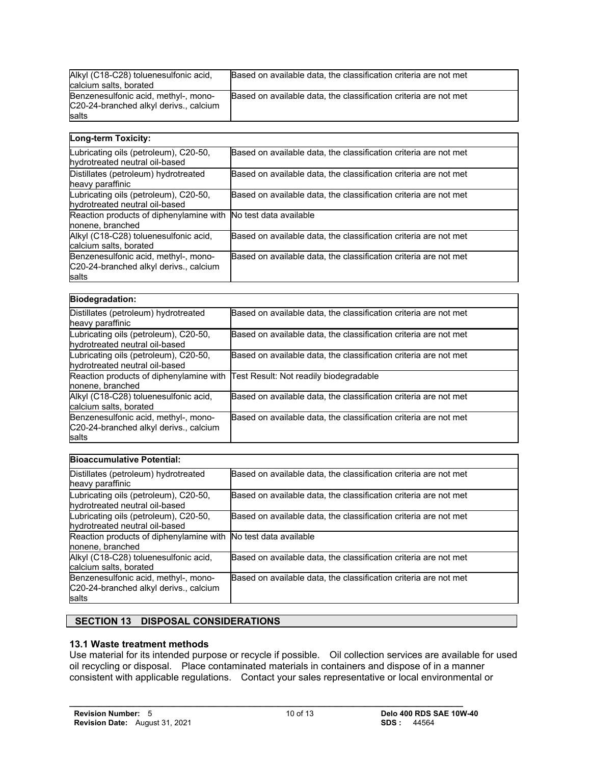| Alkyl (C18-C28) toluenesulfonic acid,<br>calcium salts, borated                                | Based on available data, the classification criteria are not met |
|------------------------------------------------------------------------------------------------|------------------------------------------------------------------|
| Benzenesulfonic acid, methyl-, mono-<br>C20-24-branched alkyl derivs., calcium<br><b>salts</b> | Based on available data, the classification criteria are not met |

| Long-term Toxicity:                                                                     |                                                                  |
|-----------------------------------------------------------------------------------------|------------------------------------------------------------------|
| Lubricating oils (petroleum), C20-50,<br>hydrotreated neutral oil-based                 | Based on available data, the classification criteria are not met |
| Distillates (petroleum) hydrotreated<br>heavy paraffinic                                | Based on available data, the classification criteria are not met |
| Lubricating oils (petroleum), C20-50,<br>hydrotreated neutral oil-based                 | Based on available data, the classification criteria are not met |
| Reaction products of diphenylamine with<br>nonene, branched                             | No test data available                                           |
| Alkyl (C18-C28) toluenesulfonic acid,<br>calcium salts, borated                         | Based on available data, the classification criteria are not met |
| Benzenesulfonic acid, methyl-, mono-<br>C20-24-branched alkyl derivs., calcium<br>salts | Based on available data, the classification criteria are not met |

| <b>Biodegradation:</b>                                                                  |                                                                  |
|-----------------------------------------------------------------------------------------|------------------------------------------------------------------|
| Distillates (petroleum) hydrotreated<br>heavy paraffinic                                | Based on available data, the classification criteria are not met |
| Lubricating oils (petroleum), C20-50,<br>hydrotreated neutral oil-based                 | Based on available data, the classification criteria are not met |
| Lubricating oils (petroleum), C20-50,<br>hydrotreated neutral oil-based                 | Based on available data, the classification criteria are not met |
| Reaction products of diphenylamine with<br>nonene, branched                             | Test Result: Not readily biodegradable                           |
| Alkyl (C18-C28) toluenesulfonic acid,<br>calcium salts, borated                         | Based on available data, the classification criteria are not met |
| Benzenesulfonic acid, methyl-, mono-<br>C20-24-branched alkyl derivs., calcium<br>salts | Based on available data, the classification criteria are not met |

| <b>Bioaccumulative Potential:</b>                                                       |                                                                  |
|-----------------------------------------------------------------------------------------|------------------------------------------------------------------|
| Distillates (petroleum) hydrotreated<br>heavy paraffinic                                | Based on available data, the classification criteria are not met |
| Lubricating oils (petroleum), C20-50,<br>hydrotreated neutral oil-based                 | Based on available data, the classification criteria are not met |
| Lubricating oils (petroleum), C20-50,<br>hydrotreated neutral oil-based                 | Based on available data, the classification criteria are not met |
| Reaction products of diphenylamine with<br>nonene, branched                             | No test data available                                           |
| Alkyl (C18-C28) toluenesulfonic acid,<br>calcium salts, borated                         | Based on available data, the classification criteria are not met |
| Benzenesulfonic acid, methyl-, mono-<br>C20-24-branched alkyl derivs., calcium<br>salts | Based on available data, the classification criteria are not met |

### **SECTION 13 DISPOSAL CONSIDERATIONS**

### **13.1 Waste treatment methods**

Use material for its intended purpose or recycle if possible. Oil collection services are available for used oil recycling or disposal. Place contaminated materials in containers and dispose of in a manner consistent with applicable regulations. Contact your sales representative or local environmental or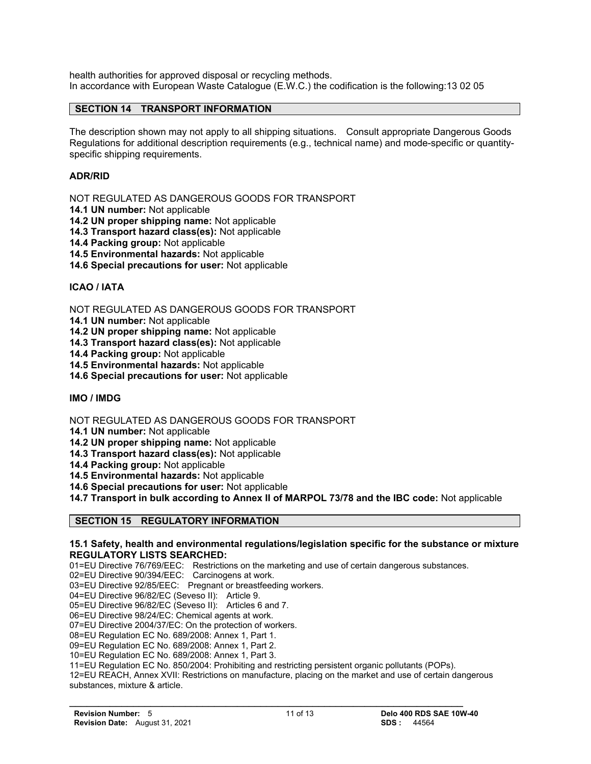health authorities for approved disposal or recycling methods. In accordance with European Waste Catalogue (E.W.C.) the codification is the following:13 02 05

### **SECTION 14 TRANSPORT INFORMATION**

The description shown may not apply to all shipping situations. Consult appropriate Dangerous Goods Regulations for additional description requirements (e.g., technical name) and mode-specific or quantityspecific shipping requirements.

### **ADR/RID**

NOT REGULATED AS DANGEROUS GOODS FOR TRANSPORT

**14.1 UN number:** Not applicable

**14.2 UN proper shipping name:** Not applicable

**14.3 Transport hazard class(es):** Not applicable

**14.4 Packing group:** Not applicable

**14.5 Environmental hazards:** Not applicable

**14.6 Special precautions for user:** Not applicable

### **ICAO / IATA**

NOT REGULATED AS DANGEROUS GOODS FOR TRANSPORT

**14.1 UN number:** Not applicable

**14.2 UN proper shipping name:** Not applicable

**14.3 Transport hazard class(es):** Not applicable

**14.4 Packing group:** Not applicable

**14.5 Environmental hazards:** Not applicable

**14.6 Special precautions for user:** Not applicable

**IMO / IMDG**

NOT REGULATED AS DANGEROUS GOODS FOR TRANSPORT

**14.1 UN number:** Not applicable

**14.2 UN proper shipping name:** Not applicable

**14.3 Transport hazard class(es):** Not applicable

**14.4 Packing group:** Not applicable

**14.5 Environmental hazards:** Not applicable

**14.6 Special precautions for user:** Not applicable

**14.7 Transport in bulk according to Annex II of MARPOL 73/78 and the IBC code:** Not applicable

### **SECTION 15 REGULATORY INFORMATION**

#### **15.1 Safety, health and environmental regulations/legislation specific for the substance or mixture REGULATORY LISTS SEARCHED:**

01=EU Directive 76/769/EEC: Restrictions on the marketing and use of certain dangerous substances.

02=EU Directive 90/394/EEC: Carcinogens at work.

03=EU Directive 92/85/EEC: Pregnant or breastfeeding workers.

04=EU Directive 96/82/EC (Seveso II): Article 9.

05=EU Directive 96/82/EC (Seveso II): Articles 6 and 7.

06=EU Directive 98/24/EC: Chemical agents at work.

07=EU Directive 2004/37/EC: On the protection of workers.

08=EU Regulation EC No. 689/2008: Annex 1, Part 1.

09=EU Regulation EC No. 689/2008: Annex 1, Part 2.

10=EU Regulation EC No. 689/2008: Annex 1, Part 3.

11=EU Regulation EC No. 850/2004: Prohibiting and restricting persistent organic pollutants (POPs).

 $\mathcal{L} = \{ \mathcal{L} \mathcal{L} \mathcal{L} \mathcal{L} \mathcal{L} \mathcal{L} \mathcal{L} \mathcal{L} \mathcal{L} \mathcal{L} \mathcal{L} \mathcal{L} \mathcal{L} \mathcal{L} \mathcal{L} \mathcal{L} \mathcal{L} \mathcal{L} \mathcal{L} \mathcal{L} \mathcal{L} \mathcal{L} \mathcal{L} \mathcal{L} \mathcal{L} \mathcal{L} \mathcal{L} \mathcal{L} \mathcal{L} \mathcal{L} \mathcal{L} \mathcal{L} \mathcal{L} \mathcal{L} \mathcal{L} \$ 

12=EU REACH, Annex XVII: Restrictions on manufacture, placing on the market and use of certain dangerous substances, mixture & article.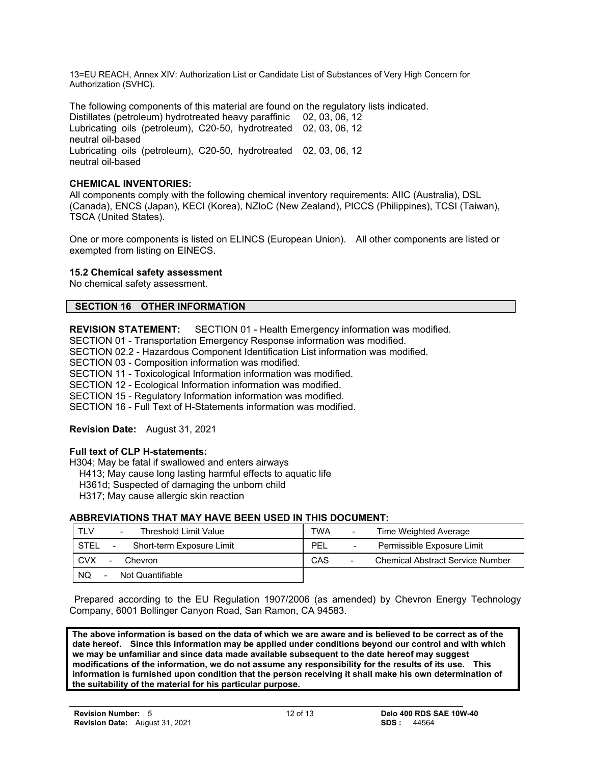13=EU REACH, Annex XIV: Authorization List or Candidate List of Substances of Very High Concern for Authorization (SVHC).

The following components of this material are found on the regulatory lists indicated. Distillates (petroleum) hydrotreated heavy paraffinic 02, 03, 06, 12 Lubricating oils (petroleum), C20-50, hydrotreated 02, 03, 06, 12 neutral oil-based Lubricating oils (petroleum), C20-50, hydrotreated 02, 03, 06, 12 neutral oil-based

### **CHEMICAL INVENTORIES:**

All components comply with the following chemical inventory requirements: AIIC (Australia), DSL (Canada), ENCS (Japan), KECI (Korea), NZIoC (New Zealand), PICCS (Philippines), TCSI (Taiwan), TSCA (United States).

One or more components is listed on ELINCS (European Union). All other components are listed or exempted from listing on EINECS.

### **15.2 Chemical safety assessment**

No chemical safety assessment.

### **SECTION 16 OTHER INFORMATION**

**REVISION STATEMENT:** SECTION 01 - Health Emergency information was modified.

SECTION 01 - Transportation Emergency Response information was modified.

SECTION 02.2 - Hazardous Component Identification List information was modified.

SECTION 03 - Composition information was modified.

SECTION 11 - Toxicological Information information was modified.

SECTION 12 - Ecological Information information was modified.

SECTION 15 - Regulatory Information information was modified.

SECTION 16 - Full Text of H-Statements information was modified.

### **Revision Date:** August 31, 2021

### **Full text of CLP H-statements:**

H304; May be fatal if swallowed and enters airways

H413; May cause long lasting harmful effects to aquatic life

H361d; Suspected of damaging the unborn child

H317; May cause allergic skin reaction

### **ABBREVIATIONS THAT MAY HAVE BEEN USED IN THIS DOCUMENT:**

| TLV                          | TWA                                     |
|------------------------------|-----------------------------------------|
| Threshold Limit Value        | Time Weighted Average                   |
| $\overline{\phantom{a}}$     | $\overline{\phantom{a}}$                |
| <b>STEL</b>                  | PEL                                     |
| Short-term Exposure Limit    | Permissible Exposure Limit              |
| $\blacksquare$               | $\overline{\phantom{a}}$                |
| <b>CVX</b>                   | CAS                                     |
| Chevron                      | <b>Chemical Abstract Service Number</b> |
| $\overline{\phantom{a}}$     | $\overline{\phantom{a}}$                |
| NQ.<br>Not Quantifiable<br>- |                                         |

 Prepared according to the EU Regulation 1907/2006 (as amended) by Chevron Energy Technology Company, 6001 Bollinger Canyon Road, San Ramon, CA 94583.

**The above information is based on the data of which we are aware and is believed to be correct as of the date hereof. Since this information may be applied under conditions beyond our control and with which we may be unfamiliar and since data made available subsequent to the date hereof may suggest modifications of the information, we do not assume any responsibility for the results of its use. This information is furnished upon condition that the person receiving it shall make his own determination of the suitability of the material for his particular purpose.**